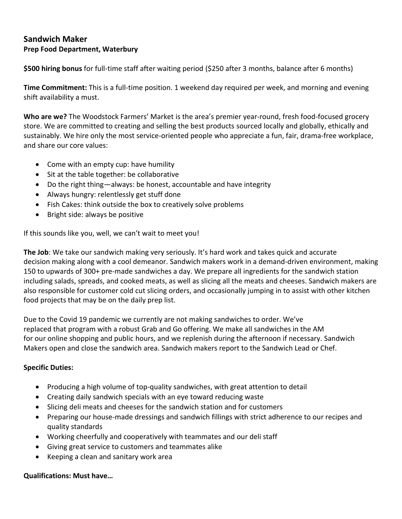## **Sandwich Maker Prep Food Department, Waterbury**

**\$500 hiring bonus** for full-time staff after waiting period (\$250 after 3 months, balance after 6 months)

**Time Commitment:** This is a full-time position. 1 weekend day required per week, and morning and evening shift availability a must.

**Who are we?** The Woodstock Farmers' Market is the area's premier year-round, fresh food-focused grocery store. We are committed to creating and selling the best products sourced locally and globally, ethically and sustainably. We hire only the most service-oriented people who appreciate a fun, fair, drama-free workplace, and share our core values:

- Come with an empty cup: have humility
- Sit at the table together: be collaborative
- Do the right thing—always: be honest, accountable and have integrity
- Always hungry: relentlessly get stuff done
- Fish Cakes: think outside the box to creatively solve problems
- Bright side: always be positive

If this sounds like you, well, we can't wait to meet you!

**The Job**: We take our sandwich making very seriously. It's hard work and takes quick and accurate decision making along with a cool demeanor. Sandwich makers work in a demand-driven environment, making 150 to upwards of 300+ pre-made sandwiches a day. We prepare all ingredients for the sandwich station including salads, spreads, and cooked meats, as well as slicing all the meats and cheeses. Sandwich makers are also responsible for customer cold cut slicing orders, and occasionally jumping in to assist with other kitchen food projects that may be on the daily prep list.

Due to the Covid 19 pandemic we currently are not making sandwiches to order. We've replaced that program with a robust Grab and Go offering. We make all sandwiches in the AM for our online shopping and public hours, and we replenish during the afternoon if necessary. Sandwich Makers open and close the sandwich area. Sandwich makers report to the Sandwich Lead or Chef.

## **Specific Duties:**

- Producing a high volume of top-quality sandwiches, with great attention to detail
- Creating daily sandwich specials with an eye toward reducing waste
- Slicing deli meats and cheeses for the sandwich station and for customers
- Preparing our house-made dressings and sandwich fillings with strict adherence to our recipes and quality standards
- Working cheerfully and cooperatively with teammates and our deli staff
- Giving great service to customers and teammates alike
- Keeping a clean and sanitary work area

## **Qualifications: Must have…**